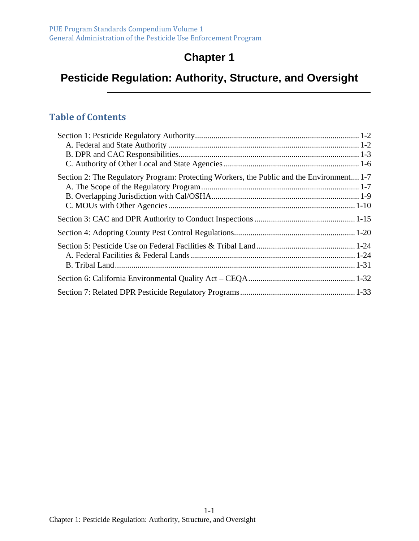# **Chapter 1**

# **Pesticide Regulation: Authority, Structure, and Oversight**

#### **Table of Contents**

| Section 2: The Regulatory Program: Protecting Workers, the Public and the Environment 1-7 |  |
|-------------------------------------------------------------------------------------------|--|
|                                                                                           |  |
|                                                                                           |  |
|                                                                                           |  |
|                                                                                           |  |
|                                                                                           |  |
|                                                                                           |  |
|                                                                                           |  |
|                                                                                           |  |
|                                                                                           |  |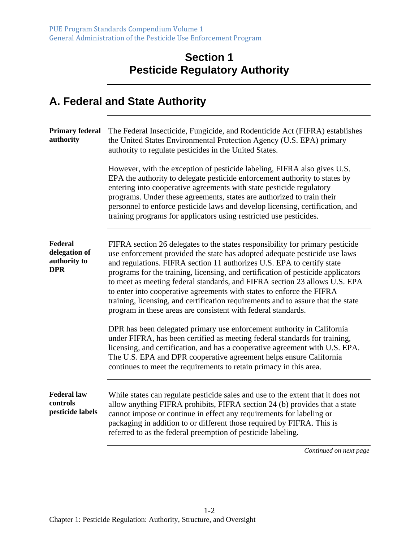## **Section 1 Pesticide Regulatory Authority**

# **A. Federal and State Authority**

| <b>Primary federal</b><br>authority                    | The Federal Insecticide, Fungicide, and Rodenticide Act (FIFRA) establishes<br>the United States Environmental Protection Agency (U.S. EPA) primary<br>authority to regulate pesticides in the United States.                                                                                                                                                                                                                                                                                                                                                                                                                         |
|--------------------------------------------------------|---------------------------------------------------------------------------------------------------------------------------------------------------------------------------------------------------------------------------------------------------------------------------------------------------------------------------------------------------------------------------------------------------------------------------------------------------------------------------------------------------------------------------------------------------------------------------------------------------------------------------------------|
|                                                        | However, with the exception of pesticide labeling, FIFRA also gives U.S.<br>EPA the authority to delegate pesticide enforcement authority to states by<br>entering into cooperative agreements with state pesticide regulatory<br>programs. Under these agreements, states are authorized to train their<br>personnel to enforce pesticide laws and develop licensing, certification, and<br>training programs for applicators using restricted use pesticides.                                                                                                                                                                       |
| Federal<br>delegation of<br>authority to<br><b>DPR</b> | FIFRA section 26 delegates to the states responsibility for primary pesticide<br>use enforcement provided the state has adopted adequate pesticide use laws<br>and regulations. FIFRA section 11 authorizes U.S. EPA to certify state<br>programs for the training, licensing, and certification of pesticide applicators<br>to meet as meeting federal standards, and FIFRA section 23 allows U.S. EPA<br>to enter into cooperative agreements with states to enforce the FIFRA<br>training, licensing, and certification requirements and to assure that the state<br>program in these areas are consistent with federal standards. |
|                                                        | DPR has been delegated primary use enforcement authority in California<br>under FIFRA, has been certified as meeting federal standards for training,<br>licensing, and certification, and has a cooperative agreement with U.S. EPA.<br>The U.S. EPA and DPR cooperative agreement helps ensure California<br>continues to meet the requirements to retain primacy in this area.                                                                                                                                                                                                                                                      |
| <b>Federal law</b><br>controls<br>pesticide labels     | While states can regulate pesticide sales and use to the extent that it does not<br>allow anything FIFRA prohibits, FIFRA section 24 (b) provides that a state<br>cannot impose or continue in effect any requirements for labeling or<br>packaging in addition to or different those required by FIFRA. This is<br>referred to as the federal preemption of pesticide labeling.                                                                                                                                                                                                                                                      |
|                                                        | Continued on next page                                                                                                                                                                                                                                                                                                                                                                                                                                                                                                                                                                                                                |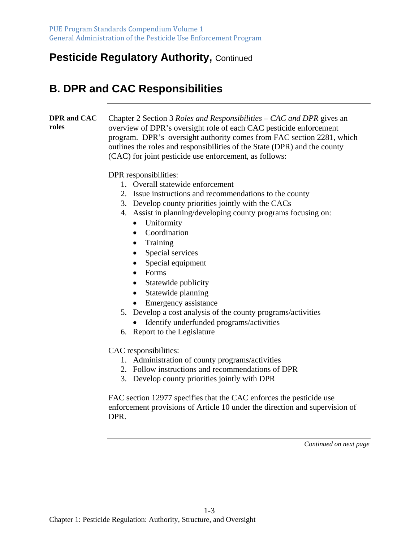#### **Pesticide Regulatory Authority, Continued**

## **B. DPR and CAC Responsibilities**

**DPR and CAC roles**  Chapter 2 Section 3 *Roles and Responsibilities – CAC and DPR* gives an overview of DPR's oversight role of each CAC pesticide enforcement program. DPR's oversight authority comes from FAC section 2281, which outlines the roles and responsibilities of the State (DPR) and the county (CAC) for joint pesticide use enforcement, as follows:

DPR responsibilities:

- 1. Overall statewide enforcement
- 2. Issue instructions and recommendations to the county
- 3. Develop county priorities jointly with the CACs
- 4. Assist in planning/developing county programs focusing on:
	- Uniformity
	- Coordination
	- Training
	- Special services
	- Special equipment
	- Forms
	- Statewide publicity
	- Statewide planning
	- Emergency assistance
- 5. Develop a cost analysis of the county programs/activities
	- Identify underfunded programs/activities
- 6. Report to the Legislature

CAC responsibilities:

- 1. Administration of county programs/activities
- 2. Follow instructions and recommendations of DPR
- 3. Develop county priorities jointly with DPR

FAC section 12977 specifies that the CAC enforces the pesticide use enforcement provisions of Article 10 under the direction and supervision of DPR.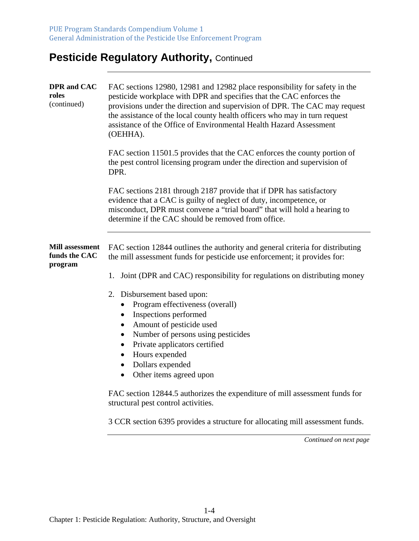# **Pesticide Regulatory Authority, Continued**

| <b>DPR</b> and CAC<br>roles<br>(continued)         | FAC sections 12980, 12981 and 12982 place responsibility for safety in the<br>pesticide workplace with DPR and specifies that the CAC enforces the<br>provisions under the direction and supervision of DPR. The CAC may request<br>the assistance of the local county health officers who may in turn request<br>assistance of the Office of Environmental Health Hazard Assessment<br>(OEHHA). |
|----------------------------------------------------|--------------------------------------------------------------------------------------------------------------------------------------------------------------------------------------------------------------------------------------------------------------------------------------------------------------------------------------------------------------------------------------------------|
|                                                    | FAC section 11501.5 provides that the CAC enforces the county portion of<br>the pest control licensing program under the direction and supervision of<br>DPR.                                                                                                                                                                                                                                    |
|                                                    | FAC sections 2181 through 2187 provide that if DPR has satisfactory<br>evidence that a CAC is guilty of neglect of duty, incompetence, or<br>misconduct, DPR must convene a "trial board" that will hold a hearing to<br>determine if the CAC should be removed from office.                                                                                                                     |
| <b>Mill assessment</b><br>funds the CAC<br>program | FAC section 12844 outlines the authority and general criteria for distributing<br>the mill assessment funds for pesticide use enforcement; it provides for:<br>Joint (DPR and CAC) responsibility for regulations on distributing money<br>1.                                                                                                                                                    |
|                                                    | 2. Disbursement based upon:<br>Program effectiveness (overall)<br>$\bullet$<br>Inspections performed<br>$\bullet$<br>Amount of pesticide used<br>$\bullet$<br>• Number of persons using pesticides<br>• Private applicators certified<br>• Hours expended<br>• Dollars expended<br>Other items agreed upon<br>$\bullet$                                                                          |
|                                                    | FAC section 12844.5 authorizes the expenditure of mill assessment funds for<br>structural pest control activities.                                                                                                                                                                                                                                                                               |
|                                                    | 3 CCR section 6395 provides a structure for allocating mill assessment funds.                                                                                                                                                                                                                                                                                                                    |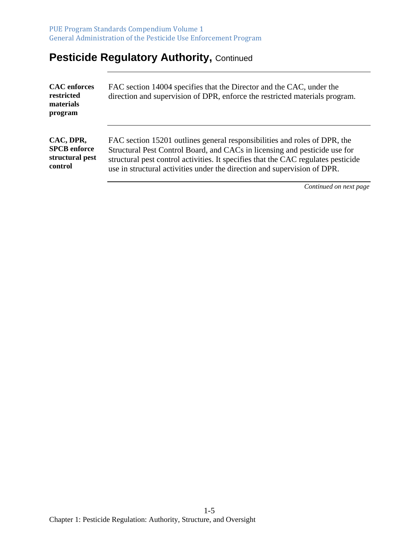PUE Program Standards Compendium Volume 1 General Administration of the Pesticide Use Enforcement Program

# **Pesticide Regulatory Authority, Continued**

| <b>CAC</b> enforces<br>restricted<br>materials<br>program | FAC section 14004 specifies that the Director and the CAC, under the<br>direction and supervision of DPR, enforce the restricted materials program. |
|-----------------------------------------------------------|-----------------------------------------------------------------------------------------------------------------------------------------------------|
| CAC, DPR,                                                 | FAC section 15201 outlines general responsibilities and roles of DPR, the                                                                           |
| <b>SPCB</b> enforce                                       | Structural Pest Control Board, and CACs in licensing and pesticide use for                                                                          |
| structural pest                                           | structural pest control activities. It specifies that the CAC regulates pesticide                                                                   |
| control                                                   | use in structural activities under the direction and supervision of DPR.                                                                            |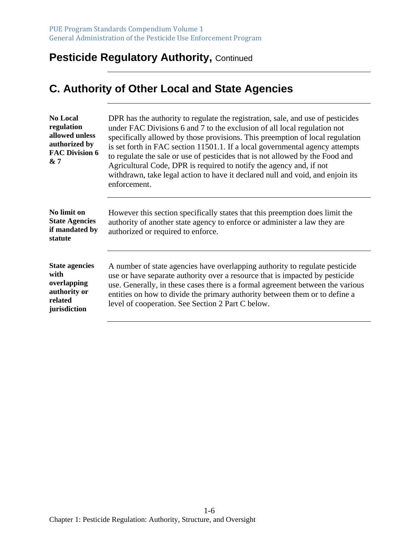### **Pesticide Regulatory Authority, Continued**

# **C. Authority of Other Local and State Agencies**

| <b>No Local</b><br>regulation<br>allowed unless<br>authorized by<br><b>FAC Division 6</b><br>& 7 | DPR has the authority to regulate the registration, sale, and use of pesticides<br>under FAC Divisions 6 and 7 to the exclusion of all local regulation not<br>specifically allowed by those provisions. This preemption of local regulation<br>is set forth in FAC section 11501.1. If a local governmental agency attempts<br>to regulate the sale or use of pesticides that is not allowed by the Food and<br>Agricultural Code, DPR is required to notify the agency and, if not<br>withdrawn, take legal action to have it declared null and void, and enjoin its<br>enforcement. |
|--------------------------------------------------------------------------------------------------|----------------------------------------------------------------------------------------------------------------------------------------------------------------------------------------------------------------------------------------------------------------------------------------------------------------------------------------------------------------------------------------------------------------------------------------------------------------------------------------------------------------------------------------------------------------------------------------|
| No limit on<br><b>State Agencies</b><br>if mandated by<br>statute                                | However this section specifically states that this preemption does limit the<br>authority of another state agency to enforce or administer a law they are<br>authorized or required to enforce.                                                                                                                                                                                                                                                                                                                                                                                        |
| <b>State agencies</b><br>with<br>overlapping<br>authority or<br>related<br>jurisdiction          | A number of state agencies have overlapping authority to regulate pesticide<br>use or have separate authority over a resource that is impacted by pesticide<br>use. Generally, in these cases there is a formal agreement between the various<br>entities on how to divide the primary authority between them or to define a<br>level of cooperation. See Section 2 Part C below.                                                                                                                                                                                                      |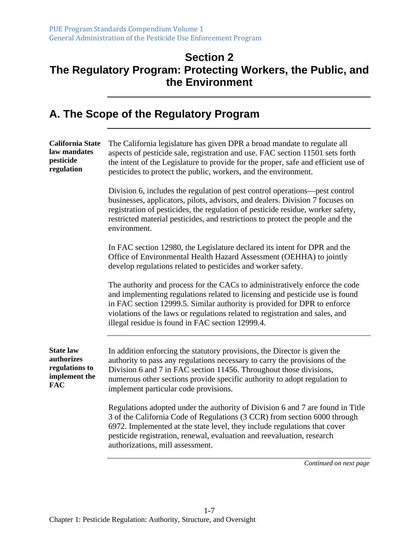#### **Section 2 The Regulatory Program: Protecting Workers, the Public, and the Environment**

### **A. The Scope of the Regulatory Program**

| <b>California State</b><br>law mandates<br>pesticide<br>regulation              | The California legislature has given DPR a broad mandate to regulate all<br>aspects of pesticide sale, registration and use. FAC section 11501 sets forth<br>the intent of the Legislature to provide for the proper, safe and efficient use of<br>pesticides to protect the public, workers, and the environment.                                                          |
|---------------------------------------------------------------------------------|-----------------------------------------------------------------------------------------------------------------------------------------------------------------------------------------------------------------------------------------------------------------------------------------------------------------------------------------------------------------------------|
|                                                                                 | Division 6, includes the regulation of pest control operations—pest control<br>businesses, applicators, pilots, advisors, and dealers. Division 7 focuses on<br>registration of pesticides, the regulation of pesticide residue, worker safety,<br>restricted material pesticides, and restrictions to protect the people and the<br>environment.                           |
|                                                                                 | In FAC section 12980, the Legislature declared its intent for DPR and the<br>Office of Environmental Health Hazard Assessment (OEHHA) to jointly<br>develop regulations related to pesticides and worker safety.                                                                                                                                                            |
|                                                                                 | The authority and process for the CACs to administratively enforce the code<br>and implementing regulations related to licensing and pesticide use is found<br>in FAC section 12999.5. Similar authority is provided for DPR to enforce<br>violations of the laws or regulations related to registration and sales, and<br>illegal residue is found in FAC section 12999.4. |
| <b>State law</b><br>authorizes<br>regulations to<br>implement the<br><b>FAC</b> | In addition enforcing the statutory provisions, the Director is given the<br>authority to pass any regulations necessary to carry the provisions of the<br>Division 6 and 7 in FAC section 11456. Throughout those divisions,<br>numerous other sections provide specific authority to adopt regulation to<br>implement particular code provisions.                         |
|                                                                                 | Regulations adopted under the authority of Division 6 and 7 are found in Title<br>3 of the California Code of Regulations (3 CCR) from section 6000 through<br>6972. Implemented at the state level, they include regulations that cover<br>pesticide registration, renewal, evaluation and reevaluation, research<br>authorizations, mill assessment.                      |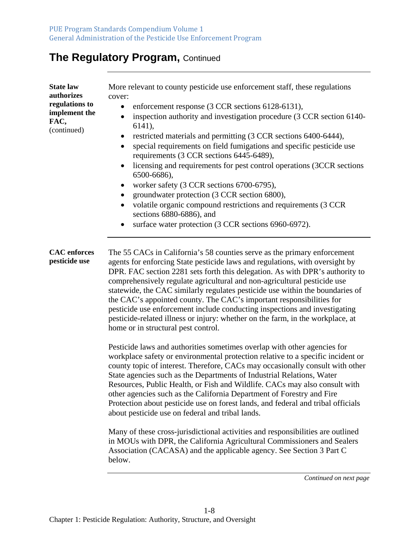| <b>State law</b><br>authorizes<br>regulations to<br>implement the<br>FAC,<br>(continued) | More relevant to county pesticide use enforcement staff, these regulations<br>cover:<br>enforcement response (3 CCR sections 6128-6131),<br>inspection authority and investigation procedure (3 CCR section 6140-<br>$6141$ ,<br>restricted materials and permitting (3 CCR sections 6400-6444),<br>$\bullet$<br>special requirements on field fumigations and specific pesticide use<br>$\bullet$<br>requirements (3 CCR sections 6445-6489),<br>licensing and requirements for pest control operations (3CCR sections<br>$\bullet$<br>6500-6686),<br>worker safety (3 CCR sections 6700-6795),<br>groundwater protection (3 CCR section 6800),<br>volatile organic compound restrictions and requirements (3 CCR<br>sections 6880-6886), and<br>surface water protection (3 CCR sections 6960-6972). |
|------------------------------------------------------------------------------------------|--------------------------------------------------------------------------------------------------------------------------------------------------------------------------------------------------------------------------------------------------------------------------------------------------------------------------------------------------------------------------------------------------------------------------------------------------------------------------------------------------------------------------------------------------------------------------------------------------------------------------------------------------------------------------------------------------------------------------------------------------------------------------------------------------------|
| <b>CAC</b> enforces<br>pesticide use                                                     | The 55 CACs in California's 58 counties serve as the primary enforcement<br>agents for enforcing State pesticide laws and regulations, with oversight by<br>DPR. FAC section 2281 sets forth this delegation. As with DPR's authority to<br>comprehensively regulate agricultural and non-agricultural pesticide use<br>statewide, the CAC similarly regulates pesticide use within the boundaries of<br>the CAC's appointed county. The CAC's important responsibilities for<br>pesticide use enforcement include conducting inspections and investigating<br>pesticide-related illness or injury: whether on the farm, in the workplace, at<br>home or in structural pest control.                                                                                                                   |
|                                                                                          | Pesticide laws and authorities sometimes overlap with other agencies for<br>workplace safety or environmental protection relative to a specific incident or<br>county topic of interest. Therefore, CACs may occasionally consult with other<br>State agencies such as the Departments of Industrial Relations, Water<br>Resources, Public Health, or Fish and Wildlife. CACs may also consult with<br>other agencies such as the California Department of Forestry and Fire<br>Protection about pesticide use on forest lands, and federal and tribal officials<br>about pesticide use on federal and tribal lands.                                                                                                                                                                                   |
|                                                                                          | Many of these cross-jurisdictional activities and responsibilities are outlined<br>in MOUs with DPR, the California Agricultural Commissioners and Sealers<br>Association (CACASA) and the applicable agency. See Section 3 Part C<br>below.                                                                                                                                                                                                                                                                                                                                                                                                                                                                                                                                                           |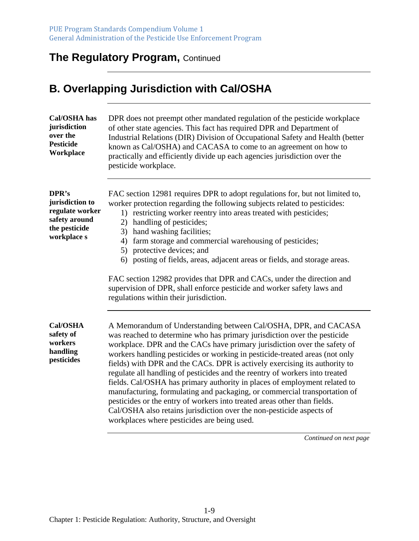# **B. Overlapping Jurisdiction with Cal/OSHA**

| Cal/OSHA has<br>jurisdiction<br>over the<br><b>Pesticide</b><br>Workplace                    | DPR does not preempt other mandated regulation of the pesticide workplace<br>of other state agencies. This fact has required DPR and Department of<br>Industrial Relations (DIR) Division of Occupational Safety and Health (better<br>known as Cal/OSHA) and CACASA to come to an agreement on how to<br>practically and efficiently divide up each agencies jurisdiction over the<br>pesticide workplace.                                                                                                                                                                                                                                                                                                                                                                                                                      |
|----------------------------------------------------------------------------------------------|----------------------------------------------------------------------------------------------------------------------------------------------------------------------------------------------------------------------------------------------------------------------------------------------------------------------------------------------------------------------------------------------------------------------------------------------------------------------------------------------------------------------------------------------------------------------------------------------------------------------------------------------------------------------------------------------------------------------------------------------------------------------------------------------------------------------------------|
| DPR's<br>jurisdiction to<br>regulate worker<br>safety around<br>the pesticide<br>workplace s | FAC section 12981 requires DPR to adopt regulations for, but not limited to,<br>worker protection regarding the following subjects related to pesticides:<br>1) restricting worker reentry into areas treated with pesticides;<br>handling of pesticides;<br>2)<br>3) hand washing facilities;<br>4) farm storage and commercial warehousing of pesticides;<br>5) protective devices; and<br>6) posting of fields, areas, adjacent areas or fields, and storage areas.                                                                                                                                                                                                                                                                                                                                                           |
|                                                                                              | FAC section 12982 provides that DPR and CACs, under the direction and<br>supervision of DPR, shall enforce pesticide and worker safety laws and<br>regulations within their jurisdiction.                                                                                                                                                                                                                                                                                                                                                                                                                                                                                                                                                                                                                                        |
| Cal/OSHA<br>safety of<br>workers<br>handling<br>pesticides                                   | A Memorandum of Understanding between Cal/OSHA, DPR, and CACASA<br>was reached to determine who has primary jurisdiction over the pesticide<br>workplace. DPR and the CACs have primary jurisdiction over the safety of<br>workers handling pesticides or working in pesticide-treated areas (not only<br>fields) with DPR and the CACs. DPR is actively exercising its authority to<br>regulate all handling of pesticides and the reentry of workers into treated<br>fields. Cal/OSHA has primary authority in places of employment related to<br>manufacturing, formulating and packaging, or commercial transportation of<br>pesticides or the entry of workers into treated areas other than fields.<br>Cal/OSHA also retains jurisdiction over the non-pesticide aspects of<br>workplaces where pesticides are being used. |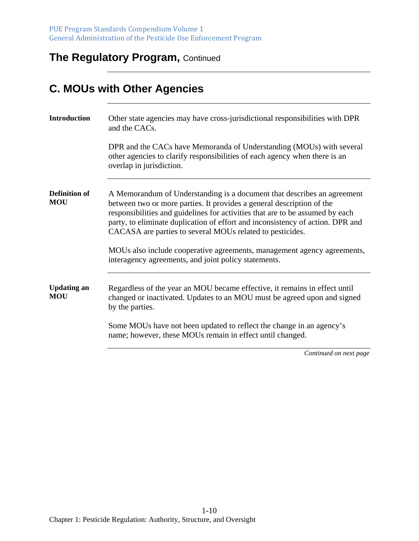# **C. MOUs with Other Agencies**

| Introduction                       | Other state agencies may have cross-jurisdictional responsibilities with DPR<br>and the CACs.                                                                                                                                                                                                                                                                                    |
|------------------------------------|----------------------------------------------------------------------------------------------------------------------------------------------------------------------------------------------------------------------------------------------------------------------------------------------------------------------------------------------------------------------------------|
|                                    | DPR and the CACs have Memoranda of Understanding (MOUs) with several<br>other agencies to clarify responsibilities of each agency when there is an<br>overlap in jurisdiction.                                                                                                                                                                                                   |
| <b>Definition of</b><br><b>MOU</b> | A Memorandum of Understanding is a document that describes an agreement<br>between two or more parties. It provides a general description of the<br>responsibilities and guidelines for activities that are to be assumed by each<br>party, to eliminate duplication of effort and inconsistency of action. DPR and<br>CACASA are parties to several MOUs related to pesticides. |
|                                    | MOUs also include cooperative agreements, management agency agreements,<br>interagency agreements, and joint policy statements.                                                                                                                                                                                                                                                  |
| <b>Updating an</b><br><b>MOU</b>   | Regardless of the year an MOU became effective, it remains in effect until<br>changed or inactivated. Updates to an MOU must be agreed upon and signed<br>by the parties.                                                                                                                                                                                                        |
|                                    | Some MOUs have not been updated to reflect the change in an agency's<br>name; however, these MOUs remain in effect until changed.                                                                                                                                                                                                                                                |
|                                    | Continued on next page                                                                                                                                                                                                                                                                                                                                                           |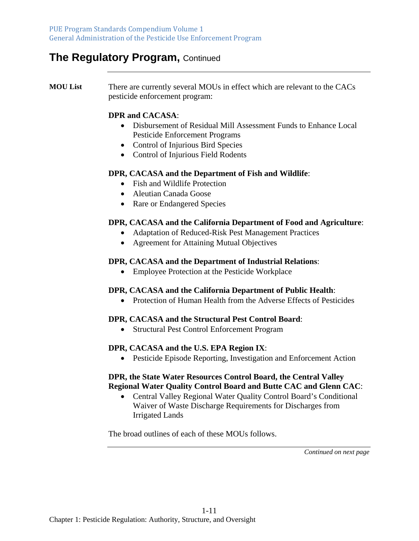**MOU List** There are currently several MOUs in effect which are relevant to the CACs pesticide enforcement program:

#### **DPR and CACASA**:

- Disbursement of Residual Mill Assessment Funds to Enhance Local Pesticide Enforcement Programs
- Control of Injurious Bird Species
- Control of Injurious Field Rodents

#### **DPR, CACASA and the Department of Fish and Wildlife**:

- Fish and Wildlife Protection
- Aleutian Canada Goose
- Rare or Endangered Species

#### **DPR, CACASA and the California Department of Food and Agriculture**:

- Adaptation of Reduced-Risk Pest Management Practices
- Agreement for Attaining Mutual Objectives

#### **DPR, CACASA and the Department of Industrial Relations**:

Employee Protection at the Pesticide Workplace

#### **DPR, CACASA and the California Department of Public Health**:

• Protection of Human Health from the Adverse Effects of Pesticides

#### **DPR, CACASA and the Structural Pest Control Board**:

Structural Pest Control Enforcement Program

#### **DPR, CACASA and the U.S. EPA Region IX**:

Pesticide Episode Reporting, Investigation and Enforcement Action

#### **DPR, the State Water Resources Control Board, the Central Valley Regional Water Quality Control Board and Butte CAC and Glenn CAC**:

 Central Valley Regional Water Quality Control Board's Conditional Waiver of Waste Discharge Requirements for Discharges from Irrigated Lands

The broad outlines of each of these MOUs follows.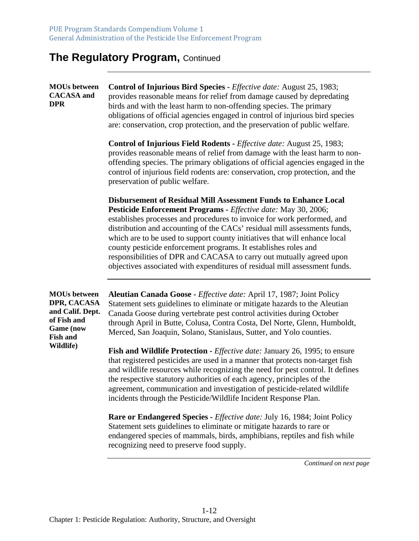| <b>MOUs between</b><br><b>CACASA</b> and<br><b>DPR</b>                                                                    | <b>Control of Injurious Bird Species - Effective date: August 25, 1983;</b><br>provides reasonable means for relief from damage caused by depredating<br>birds and with the least harm to non-offending species. The primary<br>obligations of official agencies engaged in control of injurious bird species<br>are: conservation, crop protection, and the preservation of public welfare.                                                                                                                                                                                                            |
|---------------------------------------------------------------------------------------------------------------------------|---------------------------------------------------------------------------------------------------------------------------------------------------------------------------------------------------------------------------------------------------------------------------------------------------------------------------------------------------------------------------------------------------------------------------------------------------------------------------------------------------------------------------------------------------------------------------------------------------------|
|                                                                                                                           | <b>Control of Injurious Field Rodents - Effective date: August 25, 1983;</b><br>provides reasonable means of relief from damage with the least harm to non-<br>offending species. The primary obligations of official agencies engaged in the<br>control of injurious field rodents are: conservation, crop protection, and the<br>preservation of public welfare.                                                                                                                                                                                                                                      |
|                                                                                                                           | <b>Disbursement of Residual Mill Assessment Funds to Enhance Local</b><br>Pesticide Enforcement Programs - Effective date: May 30, 2006;<br>establishes processes and procedures to invoice for work performed, and<br>distribution and accounting of the CACs' residual mill assessments funds,<br>which are to be used to support county initiatives that will enhance local<br>county pesticide enforcement programs. It establishes roles and<br>responsibilities of DPR and CACASA to carry out mutually agreed upon<br>objectives associated with expenditures of residual mill assessment funds. |
| <b>MOUs between</b><br>DPR, CACASA<br>and Calif. Dept.<br>of Fish and<br><b>Game</b> (now<br><b>Fish and</b><br>Wildlife) | Aleutian Canada Goose - Effective date: April 17, 1987; Joint Policy<br>Statement sets guidelines to eliminate or mitigate hazards to the Aleutian<br>Canada Goose during vertebrate pest control activities during October<br>through April in Butte, Colusa, Contra Costa, Del Norte, Glenn, Humboldt,<br>Merced, San Joaquin, Solano, Stanislaus, Sutter, and Yolo counties.                                                                                                                                                                                                                         |
|                                                                                                                           | Fish and Wildlife Protection - Effective date: January 26, 1995; to ensure<br>that registered pesticides are used in a manner that protects non-target fish<br>and wildlife resources while recognizing the need for pest control. It defines<br>the respective statutory authorities of each agency, principles of the<br>agreement, communication and investigation of pesticide-related wildlife<br>incidents through the Pesticide/Wildlife Incident Response Plan.                                                                                                                                 |
|                                                                                                                           | Rare or Endangered Species - Effective date: July 16, 1984; Joint Policy<br>Statement sets guidelines to eliminate or mitigate hazards to rare or<br>endangered species of mammals, birds, amphibians, reptiles and fish while<br>recognizing need to preserve food supply.                                                                                                                                                                                                                                                                                                                             |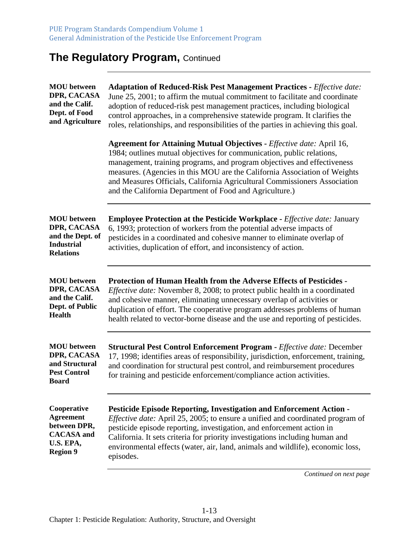| <b>MOU</b> between                                                                             | <b>Adaptation of Reduced-Risk Pest Management Practices - Effective date:</b>                                                                                                                                                                                                                                                                                                                                                                  |
|------------------------------------------------------------------------------------------------|------------------------------------------------------------------------------------------------------------------------------------------------------------------------------------------------------------------------------------------------------------------------------------------------------------------------------------------------------------------------------------------------------------------------------------------------|
| DPR, CACASA                                                                                    | June 25, 2001; to affirm the mutual commitment to facilitate and coordinate                                                                                                                                                                                                                                                                                                                                                                    |
| and the Calif.                                                                                 | adoption of reduced-risk pest management practices, including biological                                                                                                                                                                                                                                                                                                                                                                       |
| Dept. of Food                                                                                  | control approaches, in a comprehensive statewide program. It clarifies the                                                                                                                                                                                                                                                                                                                                                                     |
| and Agriculture                                                                                | roles, relationships, and responsibilities of the parties in achieving this goal.                                                                                                                                                                                                                                                                                                                                                              |
|                                                                                                | Agreement for Attaining Mutual Objectives - Effective date: April 16,<br>1984; outlines mutual objectives for communication, public relations,<br>management, training programs, and program objectives and effectiveness<br>measures. (Agencies in this MOU are the California Association of Weights<br>and Measures Officials, California Agricultural Commissioners Association<br>and the California Department of Food and Agriculture.) |
| <b>MOU</b> between<br>DPR, CACASA<br>and the Dept. of<br><b>Industrial</b><br><b>Relations</b> | <b>Employee Protection at the Pesticide Workplace - Effective date: January</b><br>6, 1993; protection of workers from the potential adverse impacts of<br>pesticides in a coordinated and cohesive manner to eliminate overlap of<br>activities, duplication of effort, and inconsistency of action.                                                                                                                                          |
| <b>MOU</b> between                                                                             | <b>Protection of Human Health from the Adverse Effects of Pesticides -</b>                                                                                                                                                                                                                                                                                                                                                                     |
| DPR, CACASA                                                                                    | <i>Effective date:</i> November 8, 2008; to protect public health in a coordinated                                                                                                                                                                                                                                                                                                                                                             |
| and the Calif.                                                                                 | and cohesive manner, eliminating unnecessary overlap of activities or                                                                                                                                                                                                                                                                                                                                                                          |
| Dept. of Public                                                                                | duplication of effort. The cooperative program addresses problems of human                                                                                                                                                                                                                                                                                                                                                                     |
| <b>Health</b>                                                                                  | health related to vector-borne disease and the use and reporting of pesticides.                                                                                                                                                                                                                                                                                                                                                                |
| <b>MOU</b> between<br>DPR, CACASA<br>and Structural<br><b>Pest Control</b><br><b>Board</b>     | Structural Pest Control Enforcement Program - Effective date: December<br>17, 1998; identifies areas of responsibility, jurisdiction, enforcement, training,<br>and coordination for structural pest control, and reimbursement procedures<br>for training and pesticide enforcement/compliance action activities.                                                                                                                             |
| Cooperative                                                                                    | <b>Pesticide Episode Reporting, Investigation and Enforcement Action -</b>                                                                                                                                                                                                                                                                                                                                                                     |
| <b>Agreement</b>                                                                               | <i>Effective date:</i> April 25, 2005; to ensure a unified and coordinated program of                                                                                                                                                                                                                                                                                                                                                          |
| between DPR,                                                                                   | pesticide episode reporting, investigation, and enforcement action in                                                                                                                                                                                                                                                                                                                                                                          |
| <b>CACASA</b> and                                                                              | California. It sets criteria for priority investigations including human and                                                                                                                                                                                                                                                                                                                                                                   |
| U.S. EPA,                                                                                      | environmental effects (water, air, land, animals and wildlife), economic loss,                                                                                                                                                                                                                                                                                                                                                                 |
| <b>Region 9</b>                                                                                | episodes.                                                                                                                                                                                                                                                                                                                                                                                                                                      |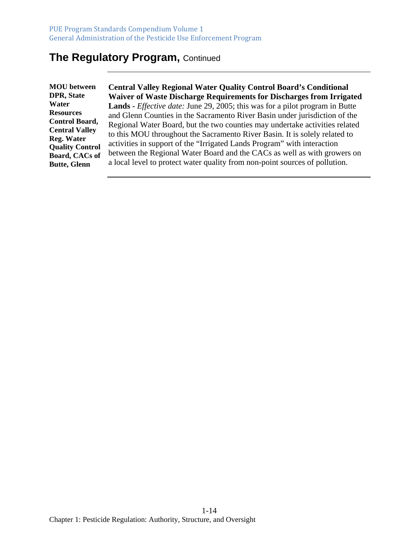**MOU between DPR, State Water Resources Control Board, Central Valley Reg. Water Quality Control Board, CACs of Butte, Glenn** 

**Central Valley Regional Water Quality Control Board's Conditional Waiver of Waste Discharge Requirements for Discharges from Irrigated Lands -** *Effective date:* June 29, 2005; this was for a pilot program in Butte and Glenn Counties in the Sacramento River Basin under jurisdiction of the Regional Water Board, but the two counties may undertake activities related to this MOU throughout the Sacramento River Basin. It is solely related to activities in support of the "Irrigated Lands Program" with interaction between the Regional Water Board and the CACs as well as with growers on a local level to protect water quality from non-point sources of pollution.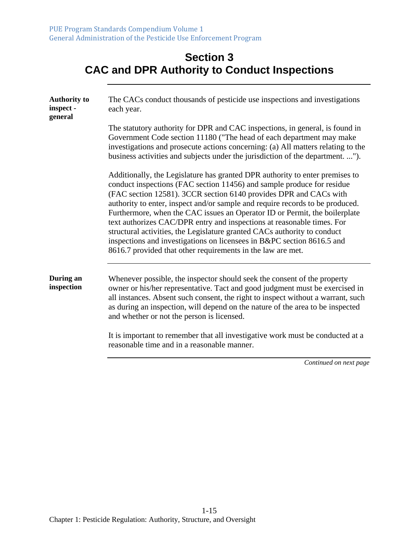### **Section 3 CAC and DPR Authority to Conduct Inspections**

| The CACs conduct thousands of pesticide use inspections and investigations<br>each year.                                                                                                                                                                                                                                                                                                                                                                                                                                                                                                                                                                                                  |
|-------------------------------------------------------------------------------------------------------------------------------------------------------------------------------------------------------------------------------------------------------------------------------------------------------------------------------------------------------------------------------------------------------------------------------------------------------------------------------------------------------------------------------------------------------------------------------------------------------------------------------------------------------------------------------------------|
| The statutory authority for DPR and CAC inspections, in general, is found in<br>Government Code section 11180 ("The head of each department may make<br>investigations and prosecute actions concerning: (a) All matters relating to the<br>business activities and subjects under the jurisdiction of the department. ").                                                                                                                                                                                                                                                                                                                                                                |
| Additionally, the Legislature has granted DPR authority to enter premises to<br>conduct inspections (FAC section 11456) and sample produce for residue<br>(FAC section 12581). 3CCR section 6140 provides DPR and CACs with<br>authority to enter, inspect and/or sample and require records to be produced.<br>Furthermore, when the CAC issues an Operator ID or Permit, the boilerplate<br>text authorizes CAC/DPR entry and inspections at reasonable times. For<br>structural activities, the Legislature granted CACs authority to conduct<br>inspections and investigations on licensees in B&PC section 8616.5 and<br>8616.7 provided that other requirements in the law are met. |
| Whenever possible, the inspector should seek the consent of the property<br>owner or his/her representative. Tact and good judgment must be exercised in<br>all instances. Absent such consent, the right to inspect without a warrant, such<br>as during an inspection, will depend on the nature of the area to be inspected<br>and whether or not the person is licensed.<br>It is important to remember that all investigative work must be conducted at a<br>reasonable time and in a reasonable manner.                                                                                                                                                                             |
|                                                                                                                                                                                                                                                                                                                                                                                                                                                                                                                                                                                                                                                                                           |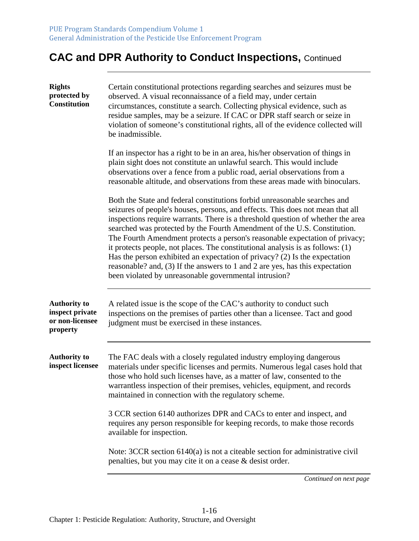| <b>Rights</b><br>protected by<br><b>Constitution</b>                  | Certain constitutional protections regarding searches and seizures must be<br>observed. A visual reconnaissance of a field may, under certain<br>circumstances, constitute a search. Collecting physical evidence, such as<br>residue samples, may be a seizure. If CAC or DPR staff search or seize in<br>violation of someone's constitutional rights, all of the evidence collected will<br>be inadmissible.                                                                                                                                                                                                                                                                                                      |
|-----------------------------------------------------------------------|----------------------------------------------------------------------------------------------------------------------------------------------------------------------------------------------------------------------------------------------------------------------------------------------------------------------------------------------------------------------------------------------------------------------------------------------------------------------------------------------------------------------------------------------------------------------------------------------------------------------------------------------------------------------------------------------------------------------|
|                                                                       | If an inspector has a right to be in an area, his/her observation of things in<br>plain sight does not constitute an unlawful search. This would include<br>observations over a fence from a public road, aerial observations from a<br>reasonable altitude, and observations from these areas made with binoculars.                                                                                                                                                                                                                                                                                                                                                                                                 |
|                                                                       | Both the State and federal constitutions forbid unreasonable searches and<br>seizures of people's houses, persons, and effects. This does not mean that all<br>inspections require warrants. There is a threshold question of whether the area<br>searched was protected by the Fourth Amendment of the U.S. Constitution.<br>The Fourth Amendment protects a person's reasonable expectation of privacy;<br>it protects people, not places. The constitutional analysis is as follows: (1)<br>Has the person exhibited an expectation of privacy? $(2)$ Is the expectation<br>reasonable? and, (3) If the answers to 1 and 2 are yes, has this expectation<br>been violated by unreasonable governmental intrusion? |
| <b>Authority to</b><br>inspect private<br>or non-licensee<br>property | A related issue is the scope of the CAC's authority to conduct such<br>inspections on the premises of parties other than a licensee. Tact and good<br>judgment must be exercised in these instances.                                                                                                                                                                                                                                                                                                                                                                                                                                                                                                                 |
| <b>Authority to</b><br>inspect licensee                               | The FAC deals with a closely regulated industry employing dangerous<br>materials under specific licenses and permits. Numerous legal cases hold that<br>those who hold such licenses have, as a matter of law, consented to the<br>warrantless inspection of their premises, vehicles, equipment, and records<br>maintained in connection with the regulatory scheme.                                                                                                                                                                                                                                                                                                                                                |
|                                                                       | 3 CCR section 6140 authorizes DPR and CACs to enter and inspect, and<br>requires any person responsible for keeping records, to make those records<br>available for inspection.                                                                                                                                                                                                                                                                                                                                                                                                                                                                                                                                      |
|                                                                       | Note: 3CCR section 6140(a) is not a citeable section for administrative civil<br>penalties, but you may cite it on a cease & desist order.                                                                                                                                                                                                                                                                                                                                                                                                                                                                                                                                                                           |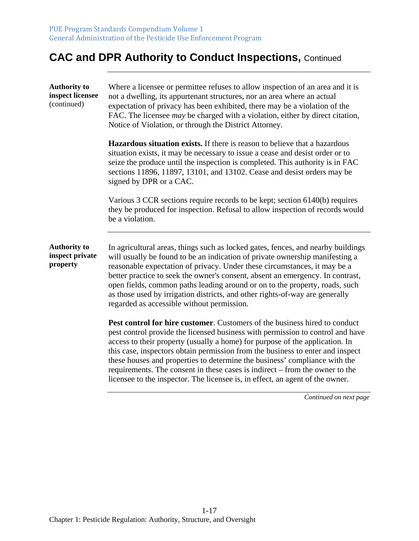| <b>Authority to</b><br>inspect licensee<br>(continued) | Where a licensee or permittee refuses to allow inspection of an area and it is<br>not a dwelling, its appurtenant structures, nor an area where an actual<br>expectation of privacy has been exhibited, there may be a violation of the<br>FAC. The licensee <i>may</i> be charged with a violation, either by direct citation,<br>Notice of Violation, or through the District Attorney.                                                                                                                                                                                     |
|--------------------------------------------------------|-------------------------------------------------------------------------------------------------------------------------------------------------------------------------------------------------------------------------------------------------------------------------------------------------------------------------------------------------------------------------------------------------------------------------------------------------------------------------------------------------------------------------------------------------------------------------------|
|                                                        | <b>Hazardous situation exists.</b> If there is reason to believe that a hazardous<br>situation exists, it may be necessary to issue a cease and desist order or to<br>seize the produce until the inspection is completed. This authority is in FAC<br>sections 11896, 11897, 13101, and 13102. Cease and desist orders may be<br>signed by DPR or a CAC.                                                                                                                                                                                                                     |
|                                                        | Various 3 CCR sections require records to be kept; section 6140(b) requires<br>they be produced for inspection. Refusal to allow inspection of records would<br>be a violation.                                                                                                                                                                                                                                                                                                                                                                                               |
| <b>Authority to</b><br>inspect private<br>property     | In agricultural areas, things such as locked gates, fences, and nearby buildings<br>will usually be found to be an indication of private ownership manifesting a<br>reasonable expectation of privacy. Under these circumstances, it may be a<br>better practice to seek the owner's consent, absent an emergency. In contrast,<br>open fields, common paths leading around or on to the property, roads, such<br>as those used by irrigation districts, and other rights-of-way are generally<br>regarded as accessible without permission.                                  |
|                                                        | Pest control for hire customer. Customers of the business hired to conduct<br>pest control provide the licensed business with permission to control and have<br>access to their property (usually a home) for purpose of the application. In<br>this case, inspectors obtain permission from the business to enter and inspect<br>these houses and properties to determine the business' compliance with the<br>requirements. The consent in these cases is indirect – from the owner to the<br>licensee to the inspector. The licensee is, in effect, an agent of the owner. |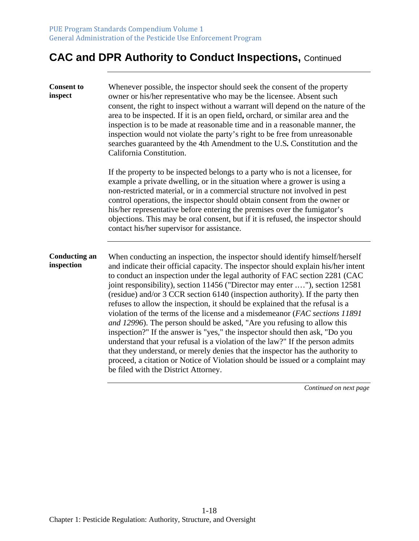| <b>Consent to</b><br>inspect       | Whenever possible, the inspector should seek the consent of the property<br>owner or his/her representative who may be the licensee. Absent such<br>consent, the right to inspect without a warrant will depend on the nature of the<br>area to be inspected. If it is an open field, orchard, or similar area and the<br>inspection is to be made at reasonable time and in a reasonable manner, the<br>inspection would not violate the party's right to be free from unreasonable<br>searches guaranteed by the 4th Amendment to the U.S. Constitution and the<br>California Constitution.                                                                                                                                                                                                                                                                                                                                                                                                                                            |
|------------------------------------|------------------------------------------------------------------------------------------------------------------------------------------------------------------------------------------------------------------------------------------------------------------------------------------------------------------------------------------------------------------------------------------------------------------------------------------------------------------------------------------------------------------------------------------------------------------------------------------------------------------------------------------------------------------------------------------------------------------------------------------------------------------------------------------------------------------------------------------------------------------------------------------------------------------------------------------------------------------------------------------------------------------------------------------|
|                                    | If the property to be inspected belongs to a party who is not a licensee, for<br>example a private dwelling, or in the situation where a grower is using a<br>non-restricted material, or in a commercial structure not involved in pest<br>control operations, the inspector should obtain consent from the owner or<br>his/her representative before entering the premises over the fumigator's<br>objections. This may be oral consent, but if it is refused, the inspector should<br>contact his/her supervisor for assistance.                                                                                                                                                                                                                                                                                                                                                                                                                                                                                                      |
| <b>Conducting an</b><br>inspection | When conducting an inspection, the inspector should identify himself/herself<br>and indicate their official capacity. The inspector should explain his/her intent<br>to conduct an inspection under the legal authority of FAC section 2281 (CAC<br>joint responsibility), section 11456 ("Director may enter "), section 12581<br>(residue) and/or 3 CCR section 6140 (inspection authority). If the party then<br>refuses to allow the inspection, it should be explained that the refusal is a<br>violation of the terms of the license and a misdemeanor (FAC sections 11891)<br>and 12996). The person should be asked, "Are you refusing to allow this<br>inspection?" If the answer is "yes," the inspector should then ask, "Do you<br>understand that your refusal is a violation of the law?" If the person admits<br>that they understand, or merely denies that the inspector has the authority to<br>proceed, a citation or Notice of Violation should be issued or a complaint may<br>be filed with the District Attorney. |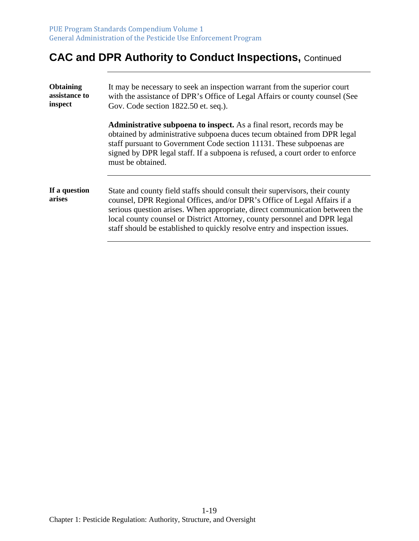| <b>Obtaining</b><br>assistance to<br>inspect | It may be necessary to seek an inspection warrant from the superior court<br>with the assistance of DPR's Office of Legal Affairs or county counsel (See<br>Gov. Code section 1822.50 et. seq.).                                                                                                                                                                                                    |  |
|----------------------------------------------|-----------------------------------------------------------------------------------------------------------------------------------------------------------------------------------------------------------------------------------------------------------------------------------------------------------------------------------------------------------------------------------------------------|--|
|                                              | <b>Administrative subpoena to inspect.</b> As a final resort, records may be<br>obtained by administrative subpoena duces tecum obtained from DPR legal<br>staff pursuant to Government Code section 11131. These subpoenas are<br>signed by DPR legal staff. If a subpoena is refused, a court order to enforce<br>must be obtained.                                                               |  |
| If a question<br>arises                      | State and county field staffs should consult their supervisors, their county<br>counsel, DPR Regional Offices, and/or DPR's Office of Legal Affairs if a<br>serious question arises. When appropriate, direct communication between the<br>local county counsel or District Attorney, county personnel and DPR legal<br>staff should be established to quickly resolve entry and inspection issues. |  |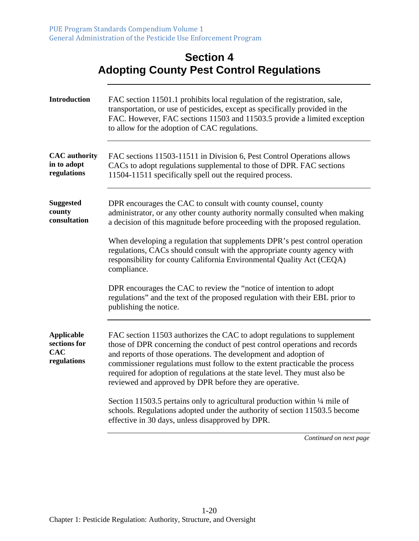| <b>Section 4</b>                                |
|-------------------------------------------------|
| <b>Adopting County Pest Control Regulations</b> |

| <b>Introduction</b>                                            | FAC section 11501.1 prohibits local regulation of the registration, sale,<br>transportation, or use of pesticides, except as specifically provided in the<br>FAC. However, FAC sections 11503 and 11503.5 provide a limited exception<br>to allow for the adoption of CAC regulations.                                                                                                                                                           |  |
|----------------------------------------------------------------|--------------------------------------------------------------------------------------------------------------------------------------------------------------------------------------------------------------------------------------------------------------------------------------------------------------------------------------------------------------------------------------------------------------------------------------------------|--|
| <b>CAC</b> authority<br>in to adopt<br>regulations             | FAC sections 11503-11511 in Division 6, Pest Control Operations allows<br>CACs to adopt regulations supplemental to those of DPR. FAC sections<br>11504-11511 specifically spell out the required process.                                                                                                                                                                                                                                       |  |
| <b>Suggested</b><br>county<br>consultation                     | DPR encourages the CAC to consult with county counsel, county<br>administrator, or any other county authority normally consulted when making<br>a decision of this magnitude before proceeding with the proposed regulation.                                                                                                                                                                                                                     |  |
|                                                                | When developing a regulation that supplements DPR's pest control operation<br>regulations, CACs should consult with the appropriate county agency with<br>responsibility for county California Environmental Quality Act (CEQA)<br>compliance.                                                                                                                                                                                                   |  |
|                                                                | DPR encourages the CAC to review the "notice of intention to adopt"<br>regulations" and the text of the proposed regulation with their EBL prior to<br>publishing the notice.                                                                                                                                                                                                                                                                    |  |
| <b>Applicable</b><br>sections for<br><b>CAC</b><br>regulations | FAC section 11503 authorizes the CAC to adopt regulations to supplement<br>those of DPR concerning the conduct of pest control operations and records<br>and reports of those operations. The development and adoption of<br>commissioner regulations must follow to the extent practicable the process<br>required for adoption of regulations at the state level. They must also be<br>reviewed and approved by DPR before they are operative. |  |
|                                                                | Section 11503.5 pertains only to agricultural production within $\frac{1}{4}$ mile of<br>schools. Regulations adopted under the authority of section 11503.5 become<br>effective in 30 days, unless disapproved by DPR.                                                                                                                                                                                                                          |  |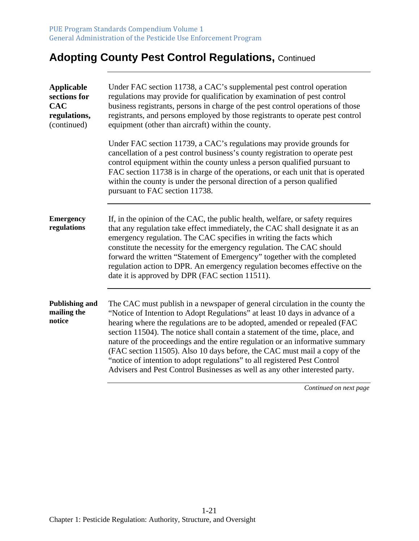## **Adopting County Pest Control Regulations, Continued**

| <b>Applicable</b><br>sections for<br><b>CAC</b><br>regulations,<br>(continued) | Under FAC section 11738, a CAC's supplemental pest control operation<br>regulations may provide for qualification by examination of pest control<br>business registrants, persons in charge of the pest control operations of those<br>registrants, and persons employed by those registrants to operate pest control<br>equipment (other than aircraft) within the county.                                                                                                                                                                                                                                                                        |
|--------------------------------------------------------------------------------|----------------------------------------------------------------------------------------------------------------------------------------------------------------------------------------------------------------------------------------------------------------------------------------------------------------------------------------------------------------------------------------------------------------------------------------------------------------------------------------------------------------------------------------------------------------------------------------------------------------------------------------------------|
|                                                                                | Under FAC section 11739, a CAC's regulations may provide grounds for<br>cancellation of a pest control business's county registration to operate pest<br>control equipment within the county unless a person qualified pursuant to<br>FAC section 11738 is in charge of the operations, or each unit that is operated<br>within the county is under the personal direction of a person qualified<br>pursuant to FAC section 11738.                                                                                                                                                                                                                 |
| <b>Emergency</b><br>regulations                                                | If, in the opinion of the CAC, the public health, welfare, or safety requires<br>that any regulation take effect immediately, the CAC shall designate it as an<br>emergency regulation. The CAC specifies in writing the facts which<br>constitute the necessity for the emergency regulation. The CAC should<br>forward the written "Statement of Emergency" together with the completed<br>regulation action to DPR. An emergency regulation becomes effective on the<br>date it is approved by DPR (FAC section 11511).                                                                                                                         |
| <b>Publishing and</b><br>mailing the<br>notice                                 | The CAC must publish in a newspaper of general circulation in the county the<br>"Notice of Intention to Adopt Regulations" at least 10 days in advance of a<br>hearing where the regulations are to be adopted, amended or repealed (FAC<br>section 11504). The notice shall contain a statement of the time, place, and<br>nature of the proceedings and the entire regulation or an informative summary<br>(FAC section 11505). Also 10 days before, the CAC must mail a copy of the<br>"notice of intention to adopt regulations" to all registered Pest Control<br>Advisers and Pest Control Businesses as well as any other interested party. |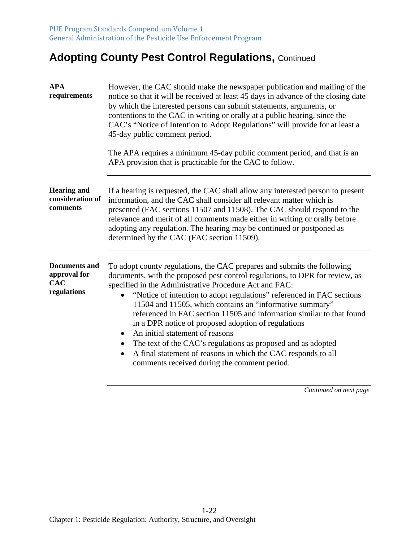## **Adopting County Pest Control Regulations, Continued**

| <b>APA</b><br>requirements                                        | However, the CAC should make the newspaper publication and mailing of the<br>notice so that it will be received at least 45 days in advance of the closing date<br>by which the interested persons can submit statements, arguments, or<br>contentions to the CAC in writing or orally at a public hearing, since the<br>CAC's "Notice of Intention to Adopt Regulations" will provide for at least a<br>45-day public comment period.<br>The APA requires a minimum 45-day public comment period, and that is an<br>APA provision that is practicable for the CAC to follow.                                                                                                                                           |  |
|-------------------------------------------------------------------|-------------------------------------------------------------------------------------------------------------------------------------------------------------------------------------------------------------------------------------------------------------------------------------------------------------------------------------------------------------------------------------------------------------------------------------------------------------------------------------------------------------------------------------------------------------------------------------------------------------------------------------------------------------------------------------------------------------------------|--|
| <b>Hearing and</b><br>consideration of<br>comments                | If a hearing is requested, the CAC shall allow any interested person to present<br>information, and the CAC shall consider all relevant matter which is<br>presented (FAC sections 11507 and 11508). The CAC should respond to the<br>relevance and merit of all comments made either in writing or orally before<br>adopting any regulation. The hearing may be continued or postponed as<br>determined by the CAC (FAC section 11509).                                                                                                                                                                                                                                                                                |  |
| <b>Documents and</b><br>approval for<br><b>CAC</b><br>regulations | To adopt county regulations, the CAC prepares and submits the following<br>documents, with the proposed pest control regulations, to DPR for review, as<br>specified in the Administrative Procedure Act and FAC:<br>"Notice of intention to adopt regulations" referenced in FAC sections<br>11504 and 11505, which contains an "informative summary"<br>referenced in FAC section 11505 and information similar to that found<br>in a DPR notice of proposed adoption of regulations<br>An initial statement of reasons<br>The text of the CAC's regulations as proposed and as adopted<br>A final statement of reasons in which the CAC responds to all<br>$\bullet$<br>comments received during the comment period. |  |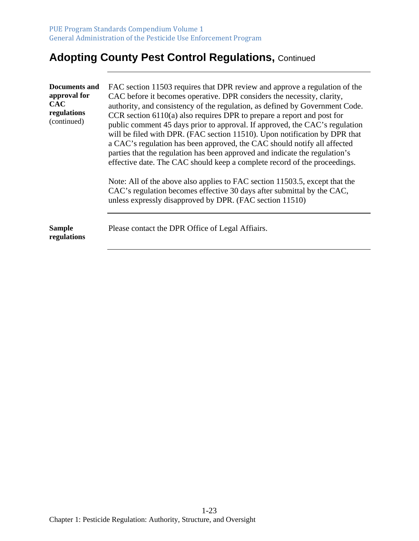## **Adopting County Pest Control Regulations, Continued**

| <b>Documents and</b><br>approval for<br><b>CAC</b><br>regulations<br>(continued) | FAC section 11503 requires that DPR review and approve a regulation of the<br>CAC before it becomes operative. DPR considers the necessity, clarity,<br>authority, and consistency of the regulation, as defined by Government Code.<br>CCR section $6110(a)$ also requires DPR to prepare a report and post for<br>public comment 45 days prior to approval. If approved, the CAC's regulation<br>will be filed with DPR. (FAC section 11510). Upon notification by DPR that<br>a CAC's regulation has been approved, the CAC should notify all affected<br>parties that the regulation has been approved and indicate the regulation's<br>effective date. The CAC should keep a complete record of the proceedings. |  |  |
|----------------------------------------------------------------------------------|-----------------------------------------------------------------------------------------------------------------------------------------------------------------------------------------------------------------------------------------------------------------------------------------------------------------------------------------------------------------------------------------------------------------------------------------------------------------------------------------------------------------------------------------------------------------------------------------------------------------------------------------------------------------------------------------------------------------------|--|--|
|                                                                                  | Note: All of the above also applies to FAC section 11503.5, except that the<br>CAC's regulation becomes effective 30 days after submittal by the CAC,<br>unless expressly disapproved by DPR. (FAC section 11510)                                                                                                                                                                                                                                                                                                                                                                                                                                                                                                     |  |  |
| <b>Sample</b><br>regulations                                                     | Please contact the DPR Office of Legal Affiairs.                                                                                                                                                                                                                                                                                                                                                                                                                                                                                                                                                                                                                                                                      |  |  |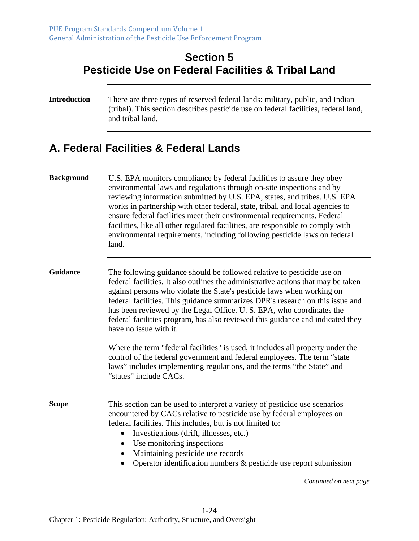#### **Section 5 Pesticide Use on Federal Facilities & Tribal Land**

**Introduction** There are three types of reserved federal lands: military, public, and Indian (tribal). This section describes pesticide use on federal facilities, federal land, and tribal land.

#### **A. Federal Facilities & Federal Lands**

**Background** U.S. EPA monitors compliance by federal facilities to assure they obey environmental laws and regulations through on-site inspections and by reviewing information submitted by U.S. EPA, states, and tribes. U.S. EPA works in partnership with other federal, state, tribal, and local agencies to ensure federal facilities meet their environmental requirements. Federal facilities, like all other regulated facilities, are responsible to comply with environmental requirements, including following pesticide laws on federal land.

**Guidance** The following guidance should be followed relative to pesticide use on federal facilities. It also outlines the administrative actions that may be taken against persons who violate the State's pesticide laws when working on federal facilities. This guidance summarizes DPR's research on this issue and has been reviewed by the Legal Office. U. S. EPA, who coordinates the federal facilities program, has also reviewed this guidance and indicated they have no issue with it.

> Where the term "federal facilities" is used, it includes all property under the control of the federal government and federal employees. The term "state laws" includes implementing regulations, and the terms "the State" and "states" include CACs.

**Scope** This section can be used to interpret a variety of pesticide use scenarios encountered by CACs relative to pesticide use by federal employees on federal facilities. This includes, but is not limited to:

- Investigations (drift, illnesses, etc.)
- Use monitoring inspections
- Maintaining pesticide use records
- Operator identification numbers & pesticide use report submission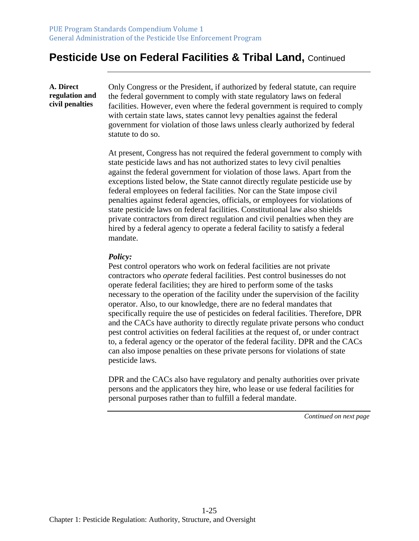**A. Direct regulation and civil penalties** 

Only Congress or the President, if authorized by federal statute, can require the federal government to comply with state regulatory laws on federal facilities. However, even where the federal government is required to comply with certain state laws, states cannot levy penalties against the federal government for violation of those laws unless clearly authorized by federal statute to do so.

At present, Congress has not required the federal government to comply with state pesticide laws and has not authorized states to levy civil penalties against the federal government for violation of those laws. Apart from the exceptions listed below, the State cannot directly regulate pesticide use by federal employees on federal facilities. Nor can the State impose civil penalties against federal agencies, officials, or employees for violations of state pesticide laws on federal facilities. Constitutional law also shields private contractors from direct regulation and civil penalties when they are hired by a federal agency to operate a federal facility to satisfy a federal mandate.

#### *Policy:*

Pest control operators who work on federal facilities are not private contractors who *operate* federal facilities. Pest control businesses do not operate federal facilities; they are hired to perform some of the tasks necessary to the operation of the facility under the supervision of the facility operator. Also, to our knowledge, there are no federal mandates that specifically require the use of pesticides on federal facilities. Therefore, DPR and the CACs have authority to directly regulate private persons who conduct pest control activities on federal facilities at the request of, or under contract to, a federal agency or the operator of the federal facility. DPR and the CACs can also impose penalties on these private persons for violations of state pesticide laws.

DPR and the CACs also have regulatory and penalty authorities over private persons and the applicators they hire, who lease or use federal facilities for personal purposes rather than to fulfill a federal mandate.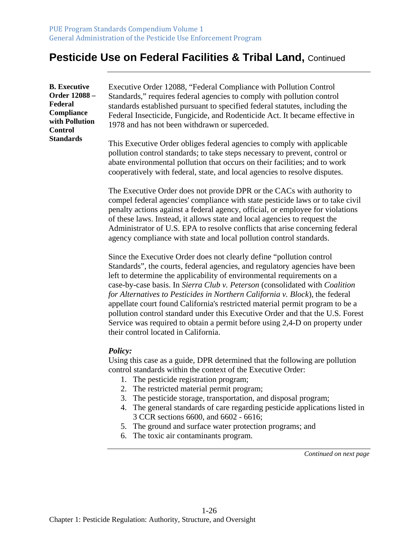**B. Executive Order 12088 – Federal Compliance with Pollution Control Standards** 

Executive Order 12088, "Federal Compliance with Pollution Control Standards," requires federal agencies to comply with pollution control standards established pursuant to specified federal statutes, including the Federal Insecticide, Fungicide, and Rodenticide Act. It became effective in 1978 and has not been withdrawn or superceded.

This Executive Order obliges federal agencies to comply with applicable pollution control standards; to take steps necessary to prevent, control or abate environmental pollution that occurs on their facilities; and to work cooperatively with federal, state, and local agencies to resolve disputes.

The Executive Order does not provide DPR or the CACs with authority to compel federal agencies' compliance with state pesticide laws or to take civil penalty actions against a federal agency, official, or employee for violations of these laws. Instead, it allows state and local agencies to request the Administrator of U.S. EPA to resolve conflicts that arise concerning federal agency compliance with state and local pollution control standards.

Since the Executive Order does not clearly define "pollution control Standards", the courts, federal agencies, and regulatory agencies have been left to determine the applicability of environmental requirements on a case-by-case basis. In *Sierra Club v. Peterson* (consolidated with *Coalition for Alternatives to Pesticides in Northern California v. Block*), the federal appellate court found California's restricted material permit program to be a pollution control standard under this Executive Order and that the U.S. Forest Service was required to obtain a permit before using 2,4-D on property under their control located in California.

#### *Policy:*

Using this case as a guide, DPR determined that the following are pollution control standards within the context of the Executive Order:

- 1. The pesticide registration program;
- 2. The restricted material permit program;
- 3. The pesticide storage, transportation, and disposal program;
- 4. The general standards of care regarding pesticide applications listed in 3 CCR sections 6600, and 6602 - 6616;
- 5. The ground and surface water protection programs; and
- 6. The toxic air contaminants program.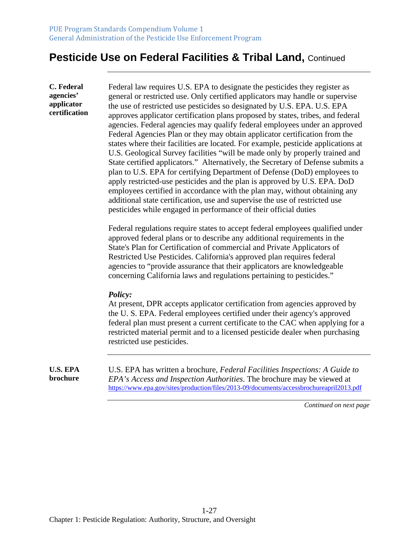**C. Federal agencies' applicator certification**  Federal law requires U.S. EPA to designate the pesticides they register as general or restricted use. Only certified applicators may handle or supervise the use of restricted use pesticides so designated by U.S. EPA. U.S. EPA approves applicator certification plans proposed by states, tribes, and federal agencies. Federal agencies may qualify federal employees under an approved Federal Agencies Plan or they may obtain applicator certification from the states where their facilities are located. For example, pesticide applications at U.S. Geological Survey facilities "will be made only by properly trained and State certified applicators." Alternatively, the Secretary of Defense submits a plan to U.S. EPA for certifying Department of Defense (DoD) employees to apply restricted-use pesticides and the plan is approved by U.S. EPA. DoD employees certified in accordance with the plan may, without obtaining any additional state certification, use and supervise the use of restricted use pesticides while engaged in performance of their official duties

Federal regulations require states to accept federal employees qualified under approved federal plans or to describe any additional requirements in the State's Plan for Certification of commercial and Private Applicators of Restricted Use Pesticides. California's approved plan requires federal agencies to "provide assurance that their applicators are knowledgeable concerning California laws and regulations pertaining to pesticides."

#### *Policy:*

At present, DPR accepts applicator certification from agencies approved by the U. S. EPA. Federal employees certified under their agency's approved federal plan must present a current certificate to the CAC when applying for a restricted material permit and to a licensed pesticide dealer when purchasing restricted use pesticides.

**U.S. EPA brochure** 

U.S. EPA has written a brochure, *Federal Facilities Inspections: A Guide to EPA's Access and Inspection Authorities*. The brochure may be viewed at <https://www.epa.gov/sites/production/files/2013-09/documents/accessbrochureapril2013.pdf>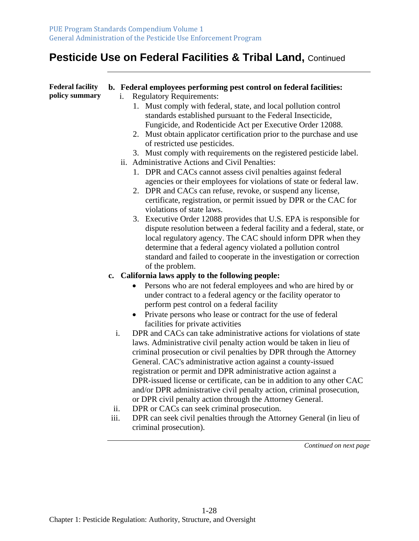| <b>Federal facility</b><br>policy summary |      | b. Federal employees performing pest control on federal facilities:        |
|-------------------------------------------|------|----------------------------------------------------------------------------|
|                                           | i.   | <b>Regulatory Requirements:</b>                                            |
|                                           |      | 1. Must comply with federal, state, and local pollution control            |
|                                           |      | standards established pursuant to the Federal Insecticide,                 |
|                                           |      | Fungicide, and Rodenticide Act per Executive Order 12088.                  |
|                                           |      | 2. Must obtain applicator certification prior to the purchase and use      |
|                                           |      | of restricted use pesticides.                                              |
|                                           |      | 3. Must comply with requirements on the registered pesticide label.        |
|                                           |      | ii. Administrative Actions and Civil Penalties:                            |
|                                           |      | 1. DPR and CACs cannot assess civil penalties against federal              |
|                                           |      | agencies or their employees for violations of state or federal law.        |
|                                           |      | 2. DPR and CACs can refuse, revoke, or suspend any license,                |
|                                           |      | certificate, registration, or permit issued by DPR or the CAC for          |
|                                           |      | violations of state laws.                                                  |
|                                           |      | 3. Executive Order 12088 provides that U.S. EPA is responsible for         |
|                                           |      | dispute resolution between a federal facility and a federal, state, or     |
|                                           |      | local regulatory agency. The CAC should inform DPR when they               |
|                                           |      | determine that a federal agency violated a pollution control               |
|                                           |      | standard and failed to cooperate in the investigation or correction        |
|                                           |      | of the problem.                                                            |
|                                           |      | c. California laws apply to the following people:                          |
|                                           |      | Persons who are not federal employees and who are hired by or<br>$\bullet$ |
|                                           |      | under contract to a federal agency or the facility operator to             |
|                                           |      | perform pest control on a federal facility                                 |
|                                           |      | Private persons who lease or contract for the use of federal               |
|                                           |      | facilities for private activities                                          |
|                                           | i.   | DPR and CACs can take administrative actions for violations of state       |
|                                           |      | laws. Administrative civil penalty action would be taken in lieu of        |
|                                           |      | criminal prosecution or civil penalties by DPR through the Attorney        |
|                                           |      | General. CAC's administrative action against a county-issued               |
|                                           |      | registration or permit and DPR administrative action against a             |
|                                           |      | DPR-issued license or certificate, can be in addition to any other CAC     |
|                                           |      | and/or DPR administrative civil penalty action, criminal prosecution,      |
|                                           |      | or DPR civil penalty action through the Attorney General.                  |
|                                           | ii.  | DPR or CACs can seek criminal prosecution.                                 |
|                                           | iii. | DPR can seek civil penalties through the Attorney General (in lieu of      |
|                                           |      | criminal prosecution).                                                     |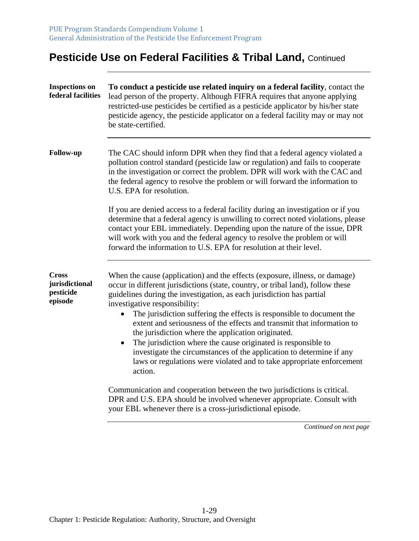| <b>Inspections on</b><br>federal facilities            | To conduct a pesticide use related inquiry on a federal facility, contact the<br>lead person of the property. Although FIFRA requires that anyone applying<br>restricted-use pesticides be certified as a pesticide applicator by his/her state<br>pesticide agency, the pesticide applicator on a federal facility may or may not<br>be state-certified.                                                                                                                                                                                                                                                                                                                                                                   |
|--------------------------------------------------------|-----------------------------------------------------------------------------------------------------------------------------------------------------------------------------------------------------------------------------------------------------------------------------------------------------------------------------------------------------------------------------------------------------------------------------------------------------------------------------------------------------------------------------------------------------------------------------------------------------------------------------------------------------------------------------------------------------------------------------|
| <b>Follow-up</b>                                       | The CAC should inform DPR when they find that a federal agency violated a<br>pollution control standard (pesticide law or regulation) and fails to cooperate<br>in the investigation or correct the problem. DPR will work with the CAC and<br>the federal agency to resolve the problem or will forward the information to<br>U.S. EPA for resolution.                                                                                                                                                                                                                                                                                                                                                                     |
|                                                        | If you are denied access to a federal facility during an investigation or if you<br>determine that a federal agency is unwilling to correct noted violations, please<br>contact your EBL immediately. Depending upon the nature of the issue, DPR<br>will work with you and the federal agency to resolve the problem or will<br>forward the information to U.S. EPA for resolution at their level.                                                                                                                                                                                                                                                                                                                         |
| <b>Cross</b><br>jurisdictional<br>pesticide<br>episode | When the cause (application) and the effects (exposure, illness, or damage)<br>occur in different jurisdictions (state, country, or tribal land), follow these<br>guidelines during the investigation, as each jurisdiction has partial<br>investigative responsibility:<br>The jurisdiction suffering the effects is responsible to document the<br>extent and seriousness of the effects and transmit that information to<br>the jurisdiction where the application originated.<br>The jurisdiction where the cause originated is responsible to<br>$\bullet$<br>investigate the circumstances of the application to determine if any<br>laws or regulations were violated and to take appropriate enforcement<br>action. |
|                                                        | Communication and cooperation between the two jurisdictions is critical.<br>DPR and U.S. EPA should be involved whenever appropriate. Consult with<br>your EBL whenever there is a cross-jurisdictional episode.                                                                                                                                                                                                                                                                                                                                                                                                                                                                                                            |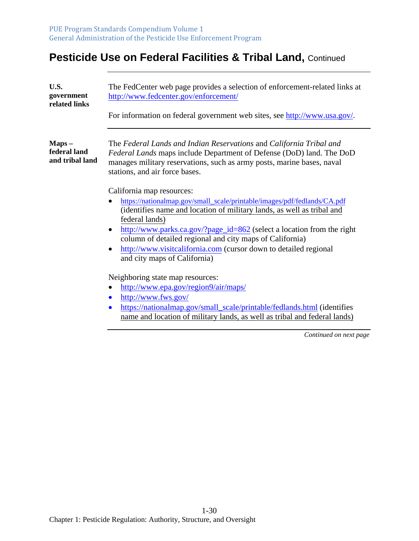| U.S.<br>government<br>related links         | The FedCenter web page provides a selection of enforcement-related links at<br>http://www.fedcenter.gov/enforcement/<br>For information on federal government web sites, see http://www.usa.gov/.                                                                                                                                                                                                                                                                                                                                                                                                                                                                                                                                                                                                                              |
|---------------------------------------------|--------------------------------------------------------------------------------------------------------------------------------------------------------------------------------------------------------------------------------------------------------------------------------------------------------------------------------------------------------------------------------------------------------------------------------------------------------------------------------------------------------------------------------------------------------------------------------------------------------------------------------------------------------------------------------------------------------------------------------------------------------------------------------------------------------------------------------|
| $Maps -$<br>federal land<br>and tribal land | The Federal Lands and Indian Reservations and California Tribal and<br>Federal Lands maps include Department of Defense (DoD) land. The DoD<br>manages military reservations, such as army posts, marine bases, naval<br>stations, and air force bases.<br>California map resources:<br>https://nationalmap.gov/small_scale/printable/images/pdf/fedlands/CA.pdf<br>$\bullet$<br>(identifies name and location of military lands, as well as tribal and<br>federal lands)<br>http://www.parks.ca.gov/?page_id=862 (select a location from the right<br>$\bullet$<br>column of detailed regional and city maps of California)<br>http://www.visitcalifornia.com (cursor down to detailed regional<br>$\bullet$<br>and city maps of California)<br>Neighboring state map resources:<br>http://www.epa.gov/region9/air/maps/<br>٠ |
|                                             | http://www.fws.gov/<br>$\bullet$<br>https://nationalmap.gov/small_scale/printable/fedlands.html (identifies<br>$\bullet$<br>name and location of military lands, as well as tribal and federal lands)                                                                                                                                                                                                                                                                                                                                                                                                                                                                                                                                                                                                                          |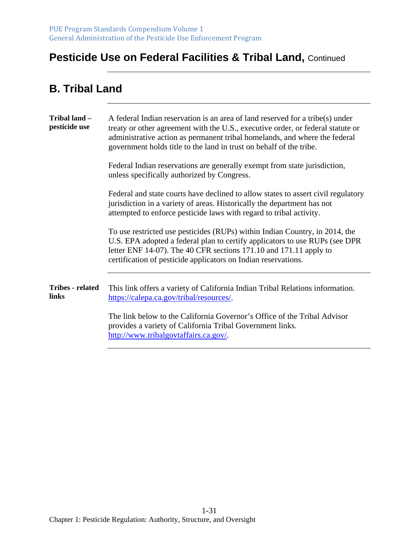# **B. Tribal Land**

| Tribal land -<br>pesticide use   | A federal Indian reservation is an area of land reserved for a tribe(s) under<br>treaty or other agreement with the U.S., executive order, or federal statute or<br>administrative action as permanent tribal homelands, and where the federal<br>government holds title to the land in trust on behalf of the tribe. |
|----------------------------------|-----------------------------------------------------------------------------------------------------------------------------------------------------------------------------------------------------------------------------------------------------------------------------------------------------------------------|
|                                  | Federal Indian reservations are generally exempt from state jurisdiction,<br>unless specifically authorized by Congress.                                                                                                                                                                                              |
|                                  | Federal and state courts have declined to allow states to assert civil regulatory<br>jurisdiction in a variety of areas. Historically the department has not<br>attempted to enforce pesticide laws with regard to tribal activity.                                                                                   |
|                                  | To use restricted use pesticides (RUPs) within Indian Country, in 2014, the<br>U.S. EPA adopted a federal plan to certify applicators to use RUPs (see DPR)<br>letter ENF 14-07). The 40 CFR sections 171.10 and 171.11 apply to<br>certification of pesticide applicators on Indian reservations.                    |
| <b>Tribes - related</b><br>links | This link offers a variety of California Indian Tribal Relations information.<br>https://calepa.ca.gov/tribal/resources/.                                                                                                                                                                                             |
|                                  | The link below to the California Governor's Office of the Tribal Advisor<br>provides a variety of California Tribal Government links.<br>http://www.tribalgovtaffairs.ca.gov/.                                                                                                                                        |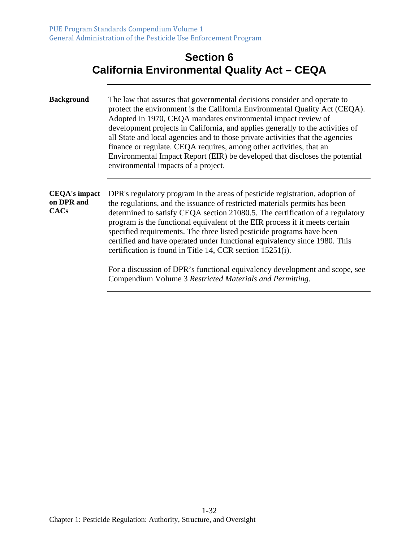#### **Section 6 California Environmental Quality Act – CEQA**

#### **Background** The law that assures that governmental decisions consider and operate to protect the environment is the California Environmental Quality Act (CEQA). Adopted in 1970, CEQA mandates environmental impact review of development projects in California, and applies generally to the activities of all State and local agencies and to those private activities that the agencies finance or regulate. CEQA requires, among other activities, that an Environmental Impact Report (EIR) be developed that discloses the potential environmental impacts of a project. **CEQA's impact on DPR and CACs**  DPR's regulatory program in the areas of pesticide registration, adoption of the regulations, and the issuance of restricted materials permits has been determined to satisfy CEQA section 21080.5. The certification of a regulatory program is the functional equivalent of the EIR process if it meets certain specified requirements. The three listed pesticide programs have been certified and have operated under functional equivalency since 1980. This certification is found in Title 14, CCR section 15251(i). For a discussion of DPR's functional equivalency development and scope, see Compendium Volume 3 *Restricted Materials and Permitting*.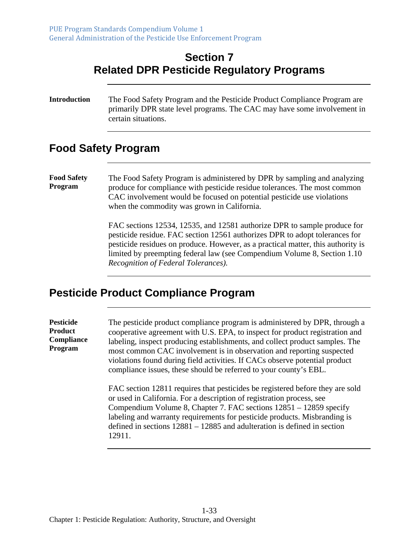#### **Section 7 Related DPR Pesticide Regulatory Programs**

**Introduction** The Food Safety Program and the Pesticide Product Compliance Program are primarily DPR state level programs. The CAC may have some involvement in certain situations.

#### **Food Safety Program**

**Food Safety Program**  The Food Safety Program is administered by DPR by sampling and analyzing produce for compliance with pesticide residue tolerances. The most common CAC involvement would be focused on potential pesticide use violations when the commodity was grown in California.

> FAC sections 12534, 12535, and 12581 authorize DPR to sample produce for pesticide residue. FAC section 12561 authorizes DPR to adopt tolerances for pesticide residues on produce. However, as a practical matter, this authority is limited by preempting federal law (see Compendium Volume 8, Section 1.10 *Recognition of Federal Tolerances).*

#### **Pesticide Product Compliance Program**

**Pesticide Product Compliance Program**  The pesticide product compliance program is administered by DPR, through a cooperative agreement with U.S. EPA, to inspect for product registration and labeling, inspect producing establishments, and collect product samples. The most common CAC involvement is in observation and reporting suspected violations found during field activities. If CACs observe potential product compliance issues, these should be referred to your county's EBL.

> FAC section 12811 requires that pesticides be registered before they are sold or used in California. For a description of registration process, see Compendium Volume 8, Chapter 7. FAC sections 12851 – 12859 specify labeling and warranty requirements for pesticide products. Misbranding is defined in sections 12881 – 12885 and adulteration is defined in section 12911.